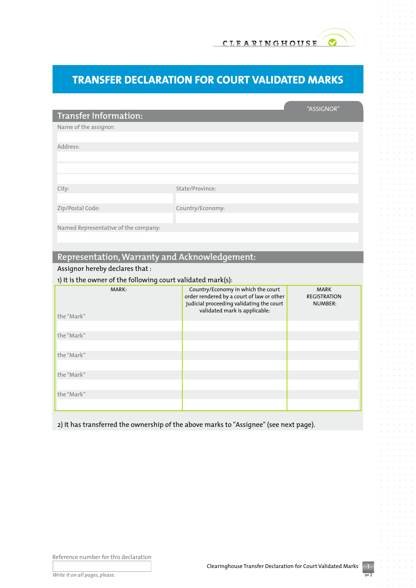## **Transfer Declaration for Court Validated Marks**

|                                                              |                                                                                       | "ASSIGNOR"                     |  |
|--------------------------------------------------------------|---------------------------------------------------------------------------------------|--------------------------------|--|
| <b>Transfer Information:</b>                                 |                                                                                       |                                |  |
| Name of the assignor:                                        |                                                                                       |                                |  |
|                                                              |                                                                                       |                                |  |
| Address:                                                     |                                                                                       |                                |  |
|                                                              |                                                                                       |                                |  |
|                                                              |                                                                                       |                                |  |
|                                                              |                                                                                       |                                |  |
| City:                                                        | State/Province:                                                                       |                                |  |
|                                                              |                                                                                       |                                |  |
| Zip/Postal Code:                                             | Country/Economy:                                                                      |                                |  |
|                                                              |                                                                                       |                                |  |
| Named Representative of the company:                         |                                                                                       |                                |  |
|                                                              |                                                                                       |                                |  |
|                                                              |                                                                                       |                                |  |
| Representation, Warranty and Acknowledgement:                |                                                                                       |                                |  |
| Assignor hereby declares that:                               |                                                                                       |                                |  |
| 1) It is the owner of the following court validated mark(s): |                                                                                       |                                |  |
| MARK:                                                        | Country/Economy in which the court                                                    | <b>MARK</b>                    |  |
|                                                              | order rendered by a court of law or other<br>judicial proceeding validating the court | <b>REGISTRATION</b><br>NUMBER: |  |
|                                                              | validated mark is applicable:                                                         |                                |  |
| the "Mark"                                                   |                                                                                       |                                |  |
|                                                              |                                                                                       |                                |  |

2) It has transferred the ownership of the above marks to "Assignee" (see next page).

Reference number for this declaration

the "Mark"

the "Mark"

the "Mark"

the "Mark"